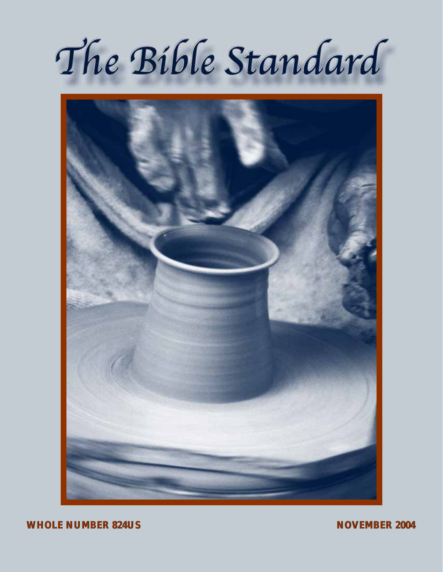# The Bible Standard



**WHOLE NUMBER 824US WHOLE NUMBER 824US NOVEMBER 2004 NOVEMBER 2004**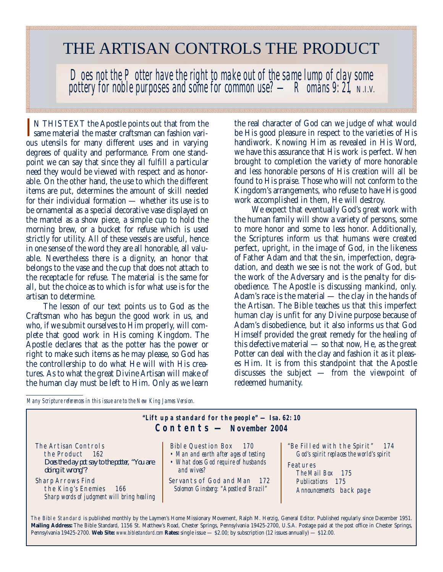## THE ARTISAN CONTROLS THE PRODUCT

*Does not the Potter have the right to make out of the same lump of clay some pottery for noble purposes and some for common use? — Romans 9: 21, N.I.V.*

IN THIS TEXT the Apostle points out that from the<br>same material the master craftsman can fashion vari-N THIS TEXT the Apostle points out that from the ous utensils for many different uses and in varying degrees of quality and performance. From one standpoint we can say that since they all fulfill a particular need they would be viewed with respect and as honorable. On the other hand, the use to which the different items are put, determines the amount of skill needed for their individual formation — whether its use is to be ornamental as a special decorative vase displayed on the mantel as a show piece, a simple cup to hold the morning brew, or a bucket for refuse which is used strictly for utility. All of these vessels are useful, hence in one sense of the word they are all honorable, all valuable. Nevertheless there is a dignity, an honor that belongs to the vase and the cup that does not attach to the receptacle for refuse. The material is the same for all, but the choice as to which is for what use is for the artisan to determine.

The lesson of our text points us to God as the Craftsman who has begun the good work in us, and who, if we submit ourselves to Him properly, will complete that good work in His coming Kingdom. The Apostle declares that as the potter has the power or right to make such items as he may please, so God has the controllership to do what He will with His creatures. As to what the great Divine Artisan will make of the human clay must be left to Him. Only as we learn the real character of God can we judge of what would be His good pleasure in respect to the varieties of His handiwork. Knowing Him as revealed in His Word, we have this assurance that His work is perfect. When brought to completion the variety of more honorable and less honorable persons of His creation will all be found to His praise. Those who will not conform to the Kingdom's arrangements, who refuse to have His good work accomplished in them, He will destroy.

We expect that eventually God's great work with the human family will show a variety of persons, some to more honor and some to less honor. Additionally, the Scriptures inform us that humans were created perfect, upright, in the image of God, in the likeness of Father Adam and that the sin, imperfection, degradation, and death we see is not the work of God, but the work of the Adversary and is the penalty for disobedience. The Apostle is discussing mankind, only. Adam's race is the material — the clay in the hands of the Artisan. The Bible teaches us that this imperfect human clay is unfit for any Divine purpose because of Adam's disobedience, but it also informs us that God Himself provided the great remedy for the healing of this defective material — so that now, He, as the great Potter can deal with the clay and fashion it as it pleases Him. It is from this standpoint that the Apostle discusses the subject — from the viewpoint of redeemed humanity.

*Many Scripture references in this issue are to the New King James Version.*

| "Lift up a standard for the people" $-$ Isa. 62: 10<br>$\text{Contents} - \text{November 2004}$              |                                                                                                                                                         |                                                                                                                                                                 |  |
|--------------------------------------------------------------------------------------------------------------|---------------------------------------------------------------------------------------------------------------------------------------------------------|-----------------------------------------------------------------------------------------------------------------------------------------------------------------|--|
| The Artisan Controls<br>the Product 162<br>Does the clay pot say to the potter, "You are<br>doing it wrong"? | Bible Question Box 170<br>• Man and earth after ages of testing<br>• What does God require of husbands<br>and wives?<br>Servants of God and Man<br>-172 | "Be Filled with the Spirit"<br>- 174<br>God's spirit replaces the world's spirit<br>Features<br>The Mail Box 175<br>Publications 175<br>Announcements back page |  |
| <b>Sharp Arrows Find</b><br>the King's Enemies 166<br>Sharp words of judgment will bring healing             | Solomon Ginsberg: "Apostle of Brazil"                                                                                                                   |                                                                                                                                                                 |  |

The Bible Standard is published monthly by the Laymen's Home Missionary Movement, Ralph M. Herzig, General Editor. Published regularly since December 1951. **Mailing Address:** The Bible Standard, 1156 St. Matthew's Road, Chester Springs, Pennsylvania 19425-2700, U.S.A. Postage paid at the post office in Chester Springs, Pennsylvania 19425-2700. **Web Site:** *www.biblestandard.com* **Rates:** single issue — \$2.00; by subscription (12 issues annually) — \$12.00.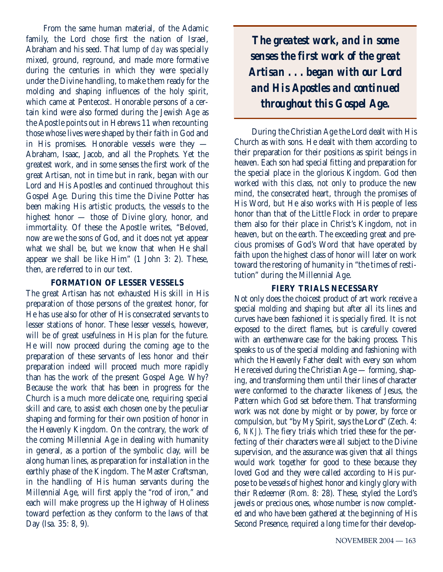From the same human material, of the Adamic family, the Lord chose first the nation of Israel, Abraham and his seed. That lump of *clay* was specially mixed, ground, reground, and made more formative during the centuries in which they were specially under the Divine handling, to make them ready for the molding and shaping influences of the holy spirit, which came at Pentecost. Honorable persons of a certain kind were also formed during the Jewish Age as the Apostle points out in Hebrews 11 when recounting those whose lives were shaped by their faith in God and in His promises. Honorable vessels were they — Abraham, Isaac, Jacob, and all the Prophets. Yet the greatest work, and in some senses the first work of the great Artisan, not in time but in rank, began with our Lord and His Apostles and continued throughout this Gospel Age. During this time the Divine Potter has been making His artistic products, the vessels to the highest honor — those of Divine glory, honor, and immortality. Of these the Apostle writes, "Beloved, now are we the sons of God, and it does not yet appear what we shall be, but we know that when He shall appear we shall be like Him" (1 John 3: 2). These, then, are referred to in our text.

#### **FORMATION OF LESSER VESSELS**

The great Artisan has not exhausted His skill in His preparation of those persons of the greatest honor, for He has use also for other of His consecrated servants to lesser stations of honor. These lesser vessels, however, will be of great usefulness in His plan for the future. He will now proceed during the coming age to the preparation of these servants of less honor and their preparation indeed will proceed much more rapidly than has the work of the present Gospel Age. Why? Because the work that has been in progress for the Church is a much more delicate one, requiring special skill and care, to assist each chosen one by the peculiar shaping and forming for their own position of honor in the Heavenly Kingdom. On the contrary, the work of the coming Millennial Age in dealing with humanity in general, as a portion of the symbolic clay, will be along human lines, as preparation for installation in the earthly phase of the Kingdom. The Master Craftsman, in the handling of His human servants during the Millennial Age, will first apply the "rod of iron," and each will make progress up the Highway of Holiness toward perfection as they conform to the laws of that Day (Isa. 35: 8, 9).

*The greatest work, and in some senses the first work of the great Artisan . . . began with our Lord and His Apostles and continued throughout this Gospel Age.*

During the Christian Age the Lord dealt with His Church as with sons. He dealt with them according to their preparation for their positions as spirit beings in heaven. Each son had special fitting and preparation for the special place in the glorious Kingdom. God then worked with this class, not only to produce the new mind, the consecrated heart, through the promises of His Word, but He also works with His people of less honor than that of the Little Flock in order to prepare them also for their place in Christ's Kingdom, not in heaven, but on the earth. The exceeding great and precious promises of God's Word that have operated by faith upon the highest class of honor will later on work toward the restoring of humanity in "the times of restitution" during the Millennial Age.

#### **FIERY TRIALS NECESSARY**

Not only does the choicest product of art work receive a special molding and shaping but after all its lines and curves have been fashioned it is specially fired. It is not exposed to the direct flames, but is carefully covered with an earthenware case for the baking process. This speaks to us of the special molding and fashioning with which the Heavenly Father dealt with every son whom He received during the Christian Age — forming, shaping, and transforming them until their lines of character were conformed to the character likeness of Jesus, the Pattern which God set before them. That transforming work was not done by might or by power, by force or compulsion, but "by My Spirit, says the Lord" (Zech. 4: 6, *NKJ*). The fiery trials which tried these for the perfecting of their characters were all subject to the Divine supervision, and the assurance was given that all things would work together for good to these because they loved God and they were called according to His purpose to be vessels of highest honor and kingly glory with their Redeemer (Rom. 8: 28). These, styled the Lord's jewels or precious ones, whose number is now completed and who have been gathered at the beginning of His Second Presence, required a long time for their develop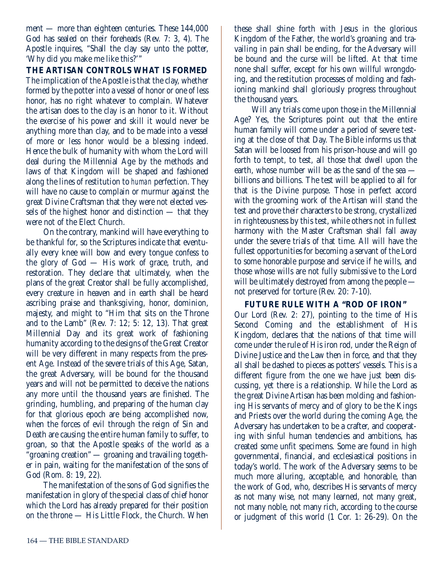ment — more than eighteen centuries. These 144,000 God has sealed on their foreheads (Rev. 7: 3, 4). The Apostle inquires, "Shall the clay say unto the potter, 'Why did you make me like this?'"

**THE ARTISAN CONTROLS WHAT IS FORMED** The implication of the Apostle is that the clay, whether formed by the potter into a vessel of honor or one of less honor, has no right whatever to complain. Whatever the artisan does to the clay is an honor to it. Without the exercise of his power and skill it would never be anything more than clay, and to be made into a vessel of more or less honor would be a blessing indeed. Hence the bulk of humanity with whom the Lord will deal during the Millennial Age by the methods and laws of that Kingdom will be shaped and fashioned along the lines of restitution to *human* perfection. They will have no cause to complain or murmur against the great Divine Craftsman that they were not elected vessels of the highest honor and distinction — that they were not of the Elect Church.

On the contrary, mankind will have everything to be thankful for, so the Scriptures indicate that eventually every knee will bow and every tongue confess to the glory of God — His work of grace, truth, and restoration. They declare that ultimately, when the plans of the great Creator shall be fully accomplished, every creature in heaven and in earth shall be heard ascribing praise and thanksgiving, honor, dominion, majesty, and might to "Him that sits on the Throne and to the Lamb" (Rev. 7: 12; 5: 12, 13). That great Millennial Day and its great work of fashioning humanity according to the designs of the Great Creator will be very different in many respects from the present Age. Instead of the severe trials of this Age, Satan, the great Adversary, will be bound for the thousand years and will not be permitted to deceive the nations any more until the thousand years are finished. The grinding, humbling, and preparing of the human clay for that glorious epoch are being accomplished now, when the forces of evil through the reign of Sin and Death are causing the entire human family to suffer, to groan, so that the Apostle speaks of the world as a "groaning creation" — groaning and travailing together in pain, waiting for the manifestation of the sons of God (Rom. 8: 19, 22).

The manifestation of the sons of God signifies the manifestation in glory of the special class of chief honor which the Lord has already prepared for their position on the throne — His Little Flock, the Church. When

these shall shine forth with Jesus in the glorious Kingdom of the Father, the world's groaning and travailing in pain shall be ending, for the Adversary will be bound and the curse will be lifted. At that time none shall suffer, except for his own willful wrongdoing, and the restitution processes of molding and fashioning mankind shall gloriously progress throughout the thousand years.

Will any trials come upon those in the Millennial Age? Yes, the Scriptures point out that the entire human family will come under a period of severe testing at the close of that Day. The Bible informs us that Satan will be loosed from his prison-house and will go forth to tempt, to test, all those that dwell upon the earth, whose number will be as the sand of the sea billions and billions. The test will be applied to all for that is the Divine purpose. Those in perfect accord with the grooming work of the Artisan will stand the test and prove their characters to be strong, crystallized in righteousness by this test, while others not in fullest harmony with the Master Craftsman shall fall away under the severe trials of that time. All will have the fullest opportunities for becoming a servant of the Lord to some honorable purpose and service if he wills, and those whose wills are not fully submissive to the Lord will be ultimately destroyed from among the people not preserved for torture (Rev. 20: 7-10).

#### **FUTURE RULE WITH A "ROD OF IRON"**

Our Lord (Rev. 2: 27), pointing to the time of His Second Coming and the establishment of His Kingdom, declares that the nations of that time will come under the rule of His iron rod, under the Reign of Divine Justice and the Law then in force, and that they all shall be dashed to pieces as potters' vessels. This is a different figure from the one we have just been discussing, yet there is a relationship. While the Lord as the great Divine Artisan has been molding and fashioning His servants of mercy and of glory to be the Kings and Priests over the world during the coming Age, the Adversary has undertaken to be a crafter, and cooperating with sinful human tendencies and ambitions, has created some unfit specimens. Some are found in high governmental, financial, and ecclesiastical positions in today's world. The work of the Adversary seems to be much more alluring, acceptable, and honorable, than the work of God, who, describes His servants of mercy as not many wise, not many learned, not many great, not many noble, not many rich, according to the course or judgment of this world (1 Cor. 1: 26-29). On the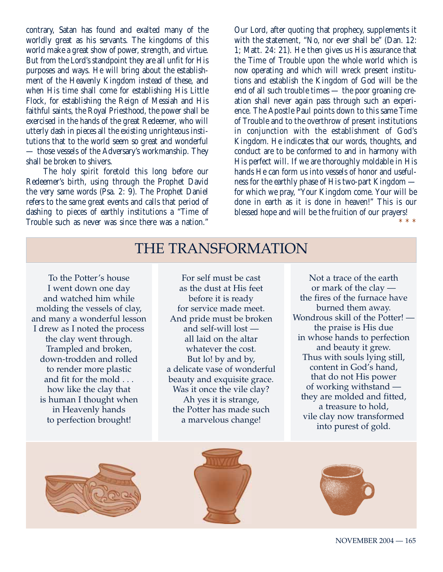contrary, Satan has found and exalted many of the worldly great as his servants. The kingdoms of this world make a great show of power, strength, and virtue. But from the Lord's standpoint they are all unfit for His purposes and ways. He will bring about the establishment of the Heavenly Kingdom instead of these, and when His time shall come for establishing His Little Flock, for establishing the Reign of Messiah and His faithful saints, the Royal Priesthood, the power shall be exercised in the hands of the great Redeemer, who will utterly dash in pieces all the existing unrighteous institutions that to the world seem so great and wonderful — those vessels of the Adversary's workmanship. They shall be broken to shivers.

The holy spirit foretold this long before our Redeemer's birth, using through the Prophet David the very same words (Psa. 2: 9). The Prophet Daniel refers to the same great events and calls that period of dashing to pieces of earthly institutions a "Time of Trouble such as never was since there was a nation."

Our Lord, after quoting that prophecy, supplements it with the statement, "No, nor ever shall be" (Dan. 12: 1; Matt. 24: 21). He then gives us His assurance that the Time of Trouble upon the whole world which is now operating and which will wreck present institutions and establish the Kingdom of God will be the end of all such trouble times — the poor groaning creation shall never again pass through such an experience. The Apostle Paul points down to this same Time of Trouble and to the overthrow of present institutions in conjunction with the establishment of God's Kingdom. He indicates that our words, thoughts, and conduct are to be conformed to and in harmony with His perfect will. If we are thoroughly moldable in His hands He can form us into vessels of honor and usefulness for the earthly phase of His two-part Kingdom for which we pray, "Your Kingdom come. Your will be done in earth as it is done in heaven!" This is our blessed hope and will be the fruition of our prayers! \* \* \*

## THE TRANSFORMATION

To the Potter's house I went down one day and watched him while molding the vessels of clay, and many a wonderful lesson I drew as I noted the process the clay went through. Trampled and broken, down-trodden and rolled to render more plastic and fit for the mold . . . how like the clay that is human I thought when in Heavenly hands to perfection brought!

For self must be cast as the dust at His feet before it is ready for service made meet. And pride must be broken and self-will lost all laid on the altar whatever the cost. But lo! by and by, a delicate vase of wonderful beauty and exquisite grace. Was it once the vile clay? Ah yes it is strange, the Potter has made such a marvelous change!

Not a trace of the earth or mark of the clay the fires of the furnace have burned them away. Wondrous skill of the Potter! the praise is His due in whose hands to perfection and beauty it grew. Thus with souls lying still, content in God's hand, that do not His power of working withstand they are molded and fitted, a treasure to hold, vile clay now transformed into purest of gold.





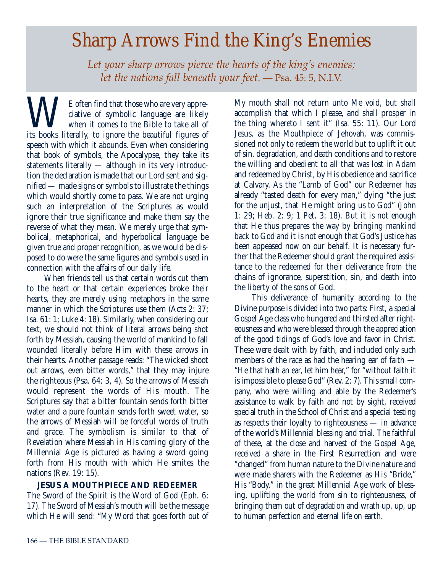## *Sharp Arrows Find the King's Enemies*

*Let your sharp arrows pierce the hearts of the king's enemies; let the nations fall beneath your feet.* — Psa. 45: 5, N.I.V.

WE often find that those who are very appre-<br>ciative of symbolic language are likely<br>when it comes to the Bible to take all of<br>its books literally, to ignore the beautiful figures of ciative of symbolic language are likely when it comes to the Bible to take all of its books literally, to ignore the beautiful figures of speech with which it abounds. Even when considering that book of symbols, the Apocalypse, they take its statements literally — although in its very introduction the declaration is made that our Lord sent and signified — made signs or symbols to illustrate the things which would shortly come to pass. We are not urging such an interpretation of the Scriptures as would ignore their true significance and make them say the reverse of what they mean. We merely urge that symbolical, metaphorical, and hyperbolical language be given true and proper recognition, as we would be disposed to do were the same figures and symbols used in connection with the affairs of our daily life.

When friends tell us that certain words cut them to the heart or that certain experiences broke their hearts, they are merely using metaphors in the same manner in which the Scriptures use them (Acts 2: 37; Isa. 61: 1; Luke 4: 18). Similarly, when considering our text, we should not think of literal arrows being shot forth by Messiah, causing the world of mankind to fall wounded literally before Him with these arrows in their hearts. Another passage reads: "The wicked shoot out arrows, even bitter words," that they may injure the righteous (Psa. 64: 3, 4). So the arrows of Messiah would represent the words of His mouth. The Scriptures say that a bitter fountain sends forth bitter water and a pure fountain sends forth sweet water, so the arrows of Messiah will be forceful words of truth and grace. The symbolism is similar to that of Revelation where Messiah in His coming glory of the Millennial Age is pictured as having a sword going forth from His mouth with which He smites the nations (Rev. 19: 15).

#### **JESUS A MOUTHPIECE AND REDEEMER**

The Sword of the Spirit is the Word of God (Eph. 6: 17). The Sword of Messiah's mouth will be the message which He will send: "My Word that goes forth out of My mouth shall not return unto Me void, but shall accomplish that which I please, and shall prosper in the thing whereto I sent it" (Isa. 55: 11). Our Lord Jesus, as the Mouthpiece of Jehovah, was commissioned not only to redeem the world but to uplift it out of sin, degradation, and death conditions and to restore the willing and obedient to all that was lost in Adam and redeemed by Christ, by His obedience and sacrifice at Calvary. As the "Lamb of God" our Redeemer has already "tasted death for every man," dying "the just for the unjust, that He might bring us to God" (John 1: 29; Heb. 2: 9; 1 Pet. 3: 18). But it is not enough that He thus prepares the way by bringing mankind back to God and it is not enough that God's Justice has been appeased now on our behalf. It is necessary further that the Redeemer should grant the required assistance to the redeemed for their deliverance from the chains of ignorance, superstition, sin, and death into the liberty of the sons of God.

This deliverance of humanity according to the Divine purpose is divided into two parts: First, a special Gospel Age class who hungered and thirsted after righteousness and who were blessed through the appreciation of the good tidings of God's love and favor in Christ. These were dealt with by faith, and included only such members of the race as had the hearing ear of faith — "He that hath an ear, let him hear," for "without faith it is impossible to please God" (Rev. 2: 7). This small company, who were willing and able by the Redeemer's assistance to walk by faith and not by sight, received special truth in the School of Christ and a special testing as respects their loyalty to righteousness — in advance of the world's Millennial blessing and trial. The faithful of these, at the close and harvest of the Gospel Age, received a share in the First Resurrection and were "changed" from human nature to the Divine nature and were made sharers with the Redeemer as His "Bride," His "Body," in the great Millennial Age work of blessing, uplifting the world from sin to righteousness, of bringing them out of degradation and wrath up, up, up to human perfection and eternal life on earth.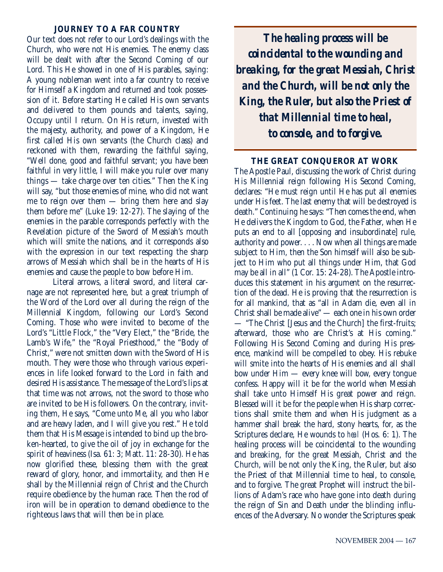#### **JOURNEY TO A FAR COUNTRY**

Our text does not refer to our Lord's dealings with the Church, who were not His enemies. The enemy class will be dealt with after the Second Coming of our Lord. This He showed in one of His parables, saying: A young nobleman went into a far country to receive for Himself a Kingdom and returned and took possession of it. Before starting He called His own servants and delivered to them pounds and talents, saying, Occupy until I return. On His return, invested with the majesty, authority, and power of a Kingdom, He first called His own servants (the Church class) and reckoned with them, rewarding the faithful saying, "Well done, good and faithful servant; you have been faithful in very little, I will make you ruler over many things — take charge over ten cities." Then the King will say, "but those enemies of mine, who did not want me to reign over them — bring them here and slay them before me" (Luke 19: 12-27). The slaying of the enemies in the parable corresponds perfectly with the Revelation picture of the Sword of Messiah's mouth which will smite the nations, and it corresponds also with the expression in our text respecting the sharp arrows of Messiah which shall be in the hearts of His enemies and cause the people to bow before Him.

Literal arrows, a literal sword, and literal carnage are not represented here, but a great triumph of the Word of the Lord over all during the reign of the Millennial Kingdom, following our Lord's Second Coming. Those who were invited to become of the Lord's "Little Flock," the "Very Elect," the "Bride, the Lamb's Wife," the "Royal Priesthood," the "Body of Christ," were not smitten down with the Sword of His mouth. They were those who through various experiences in life looked forward to the Lord in faith and desired His assistance. The message of the Lord's lips at that time was not arrows, not the sword to those who are invited to be His followers. On the contrary, inviting them, He says, "Come unto Me, all you who labor and are heavy laden, and I will give you rest." He told them that His Message is intended to bind up the broken-hearted, to give the oil of joy in exchange for the spirit of heaviness (Isa. 61: 3; Matt. 11: 28-30). He has now glorified these, blessing them with the great reward of glory, honor, and immortality, and then He shall by the Millennial reign of Christ and the Church require obedience by the human race. Then the rod of iron will be in operation to demand obedience to the righteous laws that will then be in place.

*The healing process will be coincidental to the wounding and breaking, for the great Messiah, Christ and the Church, will be not only the King, the Ruler, but also the Priest of that Millennial time to heal, to console, and to forgive.*

#### **THE GREAT CONQUEROR AT WORK**

The Apostle Paul, discussing the work of Christ during His Millennial reign following His Second Coming, declares: "He must reign until He has put all enemies under His feet. The last enemy that will be destroyed is death." Continuing he says: "Then comes the end, when He delivers the Kingdom to God, the Father, when He puts an end to all [opposing and insubordinate] rule, authority and power. . . . Now when all things are made subject to Him, then the Son himself will also be subject to Him who put all things under Him, that God may be all in all" (1 Cor. 15: 24-28). The Apostle introduces this statement in his argument on the resurrection of the dead. He is proving that the resurrection is for all mankind, that as "all in Adam die, even all in Christ shall be made alive" — each one in his own order — "The Christ [Jesus and the Church] the first-fruits; afterward, those who are Christ's at His coming." Following His Second Coming and during His presence, mankind will be compelled to obey. His rebuke will smite into the hearts of His enemies and all shall bow under Him — every knee will bow, every tongue confess. Happy will it be for the world when Messiah shall take unto Himself His great power and reign. Blessed will it be for the people when His sharp corrections shall smite them and when His judgment as a hammer shall break the hard, stony hearts, for, as the Scriptures declare, He wounds to *heal* (Hos. 6: 1). The healing process will be coincidental to the wounding and breaking, for the great Messiah, Christ and the Church, will be not only the King, the Ruler, but also the Priest of that Millennial time to heal, to console, and to forgive. The great Prophet will instruct the billions of Adam's race who have gone into death during the reign of Sin and Death under the blinding influences of the Adversary. No wonder the Scriptures speak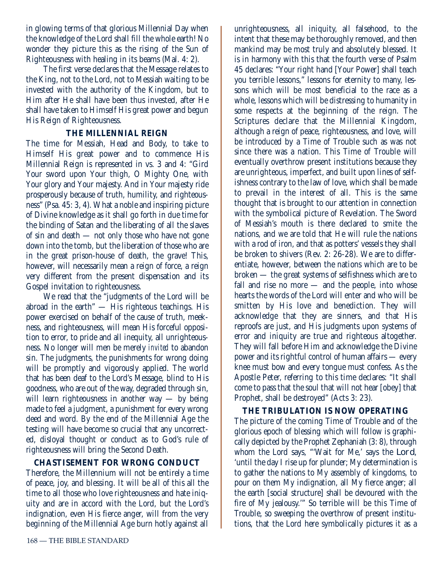in glowing terms of that glorious Millennial Day when the knowledge of the Lord shall fill the whole earth! No wonder they picture this as the rising of the Sun of Righteousness with healing in its beams (Mal. 4: 2).

The first verse declares that the Message relates to the King, not to the Lord, not to Messiah waiting to be invested with the authority of the Kingdom, but to Him after He shall have been thus invested, after He shall have taken to Himself His great power and begun His Reign of Righteousness.

#### **THE MILLENNIAL REIGN**

The time for Messiah, Head and Body, to take to Himself His great power and to commence His Millennial Reign is represented in vs. 3 and 4: "Gird Your sword upon Your thigh, O Mighty One, with Your glory and Your majesty. And in Your majesty ride prosperously because of truth, humility, and righteousness" (Psa. 45: 3, 4). What a noble and inspiring picture of Divine knowledge as it shall go forth in due time for the binding of Satan and the liberating of all the slaves of sin and death — not only those who have not gone down into the tomb, but the liberation of those who are in the great prison-house of death, the grave! This, however, will necessarily mean a reign of force, a reign very different from the present dispensation and its Gospel invitation to righteousness.

We read that the "judgments of the Lord will be abroad in the earth" — His righteous teachings. His power exercised on behalf of the cause of truth, meekness, and righteousness, will mean His forceful opposition to error, to pride and all inequity, all unrighteousness. No longer will men be merely *invited* to abandon sin. The judgments, the punishments for wrong doing will be promptly and vigorously applied. The world that has been deaf to the Lord's Message, blind to His goodness, who are out of the way, degraded through sin, will learn righteousness in another way  $-$  by being made to feel a judgment, a punishment for every wrong deed and word. By the end of the Millennial Age the testing will have become so crucial that any uncorrected, disloyal thought or conduct as to God's rule of righteousness will bring the Second Death.

#### **CHASTISEMENT FOR WRONG CONDUCT**

Therefore, the Millennium will not be entirely a time of peace, joy, and blessing. It will be all of this all the time to all those who love righteousness and hate iniquity and are in accord with the Lord, but the Lord's indignation, even His fierce anger, will from the very beginning of the Millennial Age burn hotly against all

unrighteousness, all iniquity, all falsehood, to the intent that these may be thoroughly removed, and then mankind may be most truly and absolutely blessed. It is in harmony with this that the fourth verse of Psalm 45 declares: "Your right hand [Your Power] shall teach you terrible lessons," lessons for eternity to many, lessons which will be most beneficial to the race as a whole, lessons which will be distressing to humanity in some respects at the beginning of the reign. The Scriptures declare that the Millennial Kingdom, although a reign of peace, righteousness, and love, will be introduced by a Time of Trouble such as was not since there was a nation. This Time of Trouble will eventually overthrow present institutions because they are unrighteous, imperfect, and built upon lines of selfishness contrary to the law of love, which shall be made to prevail in the interest of all. This is the same thought that is brought to our attention in connection with the symbolical picture of Revelation. The Sword of Messiah's mouth is there declared to smite the nations, and we are told that He will rule the nations with a rod of iron, and that as potters' vessels they shall be broken to shivers (Rev. 2: 26-28). We are to differentiate, however, between the nations which are to be broken — the great systems of selfishness which are to fall and rise no more — and the people, into whose hearts the words of the Lord will enter and who will be smitten by His love and benediction. They will acknowledge that they are sinners, and that His reproofs are just, and His judgments upon systems of error and iniquity are true and righteous altogether. They will fall before Him and acknowledge the Divine power and its rightful control of human affairs — every knee must bow and every tongue must confess. As the Apostle Peter, referring to this time declares: "It shall come to pass that the soul that will not hear [obey] that Prophet, shall be destroyed" (Acts 3: 23).

#### **THE TRIBULATION IS NOW OPERATING**

The picture of the coming Time of Trouble and of the glorious epoch of blessing which will follow is graphically depicted by the Prophet Zephaniah (3: 8), through whom the Lord says, "'Wait for Me,' says the Lord, 'until the day I rise up for plunder; My determination is to gather the nations to My assembly of kingdoms, to pour on them My indignation, all My fierce anger; all the earth [social structure] shall be devoured with the fire of My jealousy.'" So terrible will be this Time of Trouble, so sweeping the overthrow of present institutions, that the Lord here symbolically pictures it as a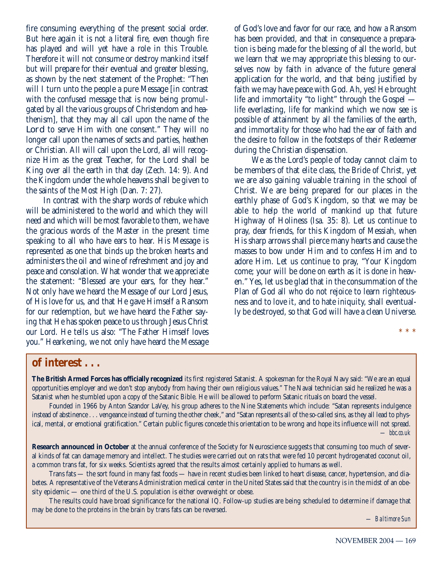fire consuming everything of the present social order. But here again it is not a literal fire, even though fire has played and will yet have a role in this Trouble. Therefore it will not consume or destroy mankind itself but will prepare for their eventual and greater blessing, as shown by the next statement of the Prophet: "Then will I turn unto the people a pure Message [in contrast] with the confused message that is now being promulgated by all the various groups of Christendom and heathenism], that they may all call upon the name of the Lord to serve Him with one consent." They will no longer call upon the names of sects and parties, heathen or Christian. All will call upon the Lord, all will recognize Him as the great Teacher, for the Lord shall be King over all the earth in that day (Zech. 14: 9). And the Kingdom under the whole heavens shall be given to the saints of the Most High (Dan. 7: 27).

In contrast with the sharp words of rebuke which will be administered to the world and which they will need and which will be most favorable to them, we have the gracious words of the Master in the present time speaking to all who have ears to hear. His Message is represented as one that binds up the broken hearts and administers the oil and wine of refreshment and joy and peace and consolation. What wonder that we appreciate the statement: "Blessed are your ears, for they hear." Not only have we heard the Message of our Lord Jesus, of His love for us, and that He gave Himself a Ransom for our redemption, but we have heard the Father saying that He has spoken peace to us through Jesus Christ our Lord. He tells us also: "The Father Himself loves you." Hearkening, we not only have heard the Message of God's love and favor for our race, and how a Ransom has been provided, and that in consequence a preparation is being made for the blessing of all the world, but we learn that we may appropriate this blessing to ourselves now by faith in advance of the future general application for the world, and that being justified by faith we may have peace with God. Ah, yes! He brought life and immortality "to light" through the Gospel life everlasting, life for mankind which we now see is possible of attainment by all the families of the earth, and immortality for those who had the ear of faith and the desire to follow in the footsteps of their Redeemer during the Christian dispensation.

We as the Lord's people of today cannot claim to be members of that elite class, the Bride of Christ, yet we are also gaining valuable training in the school of Christ. We are being prepared for our places in the earthly phase of God's Kingdom, so that we may be able to help the world of mankind up that future Highway of Holiness (Isa. 35: 8). Let us continue to pray, dear friends, for this Kingdom of Messiah, when His sharp arrows shall pierce many hearts and cause the masses to bow under Him and to confess Him and to adore Him. Let us continue to pray, "Your Kingdom come; your will be done on earth as it is done in heaven." Yes, let us be glad that in the consummation of the Plan of God all who do not rejoice to learn righteousness and to love it, and to hate iniquity, shall eventually be destroyed, so that God will have a clean Universe.

\* \* \*

#### **of interest . . .**

**The British Armed Forces has officially recognized** its first registered Satanist. A spokesman for the Royal Navy said: "We are an equal opportunities employer and we don't stop anybody from having their own religious values." The Naval technician said he realized he was a Satanist when he stumbled upon a copy of the Satanic Bible. He will be allowed to perform Satanic rituals on board the vessel.

Founded in 1966 by Anton Szandor LaVey, his group adheres to the Nine Statements which include: "Satan represents indulgence instead of abstinence . . . vengeance instead of turning the other cheek," and "Satan represents all of the so-called sins, as they all lead to physical, mental, or emotional gratification." Certain public figures concede this orientation to be wrong and hope its influence will not spread. *— bbc.co.uk*

**Research announced in October** at the annual conference of the Society for Neuroscience suggests that consuming too much of several kinds of fat can damage memory and intellect. The studies were carried out on rats that were fed 10 percent hydrogenated coconut oil, a common trans fat, for six weeks. Scientists agreed that the results almost certainly applied to humans as well.

Trans fats — the sort found in many fast foods — have in recent studies been linked to heart disease, cancer, hypertension, and diabetes. A representative of the Veterans Administration medical center in the United States said that the country is in the midst of an obesity epidemic — one third of the U.S. population is either overweight or obese.

The results could have broad significance for the national IQ. Follow-up studies are being scheduled to determine if damage that may be done to the proteins in the brain by trans fats can be reversed.

*— Baltimore Sun*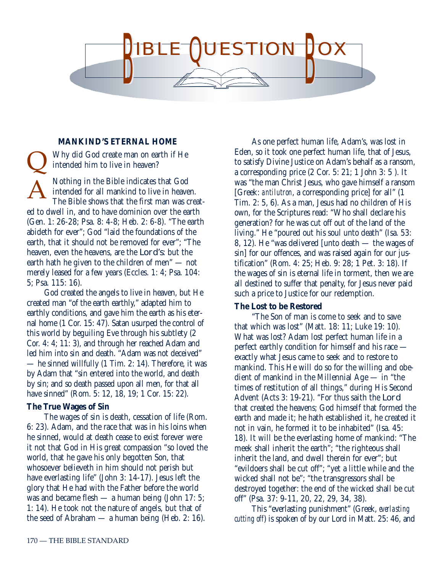

#### **MANKIND'S ETERNAL HOME**

Why did God create man on earth if He intended him to live in heaven? Nothing in the Bible indicates that God intended for all mankind to live in heaven. The Bible shows that the first man was created to dwell in, and to have dominion over the earth (Gen. 1: 26-28; Psa. 8: 4-8; Heb. 2: 6-8). "The earth abideth for ever"; God "laid the foundations of the earth, that it should not be removed for ever"; "The heaven, even the heavens, are the Lord's: but the earth hath he given to the children of men" — not merely leased for a few years (Eccles. 1: 4; Psa. 104: 5; Psa. 115: 16). A  $\overline{\mathsf{Q}}$ 

God created the angels to live in heaven, but He created man "of the earth earthly," adapted him to earthly conditions, and gave him the earth as his eternal home (1 Cor. 15: 47). Satan usurped the control of this world by beguiling Eve through his subtlety (2 Cor. 4: 4; 11: 3), and through her reached Adam and led him into sin and death. "Adam was not deceived" — he sinned willfully (1 Tim. 2: 14). Therefore, it was by Adam that "sin entered into the world, and death by sin; and so death passed upon all men, for that all have sinned" (Rom. 5: 12, 18, 19: 1 Cor. 15: 22).

#### **The True Wages of Sin**

The wages of sin is death, cessation of life (Rom. 6: 23). Adam, and the race that was in his loins when he sinned, would at death cease to exist forever were it not that God in His great compassion "so loved the world, that he gave his only begotten Son, that whosoever believeth in him should not perish but have everlasting life" (John 3: 14-17). Jesus left the glory that He had with the Father before the world was and became flesh — a human being (John 17: 5; 1: 14). He took not the nature of angels, but that of the seed of Abraham — a human being (Heb. 2: 16).

As one perfect human life, Adam's, was lost in Eden, so it took one perfect human life, that of Jesus, to satisfy Divine Justice on Adam's behalf as a ransom, a corresponding price (2 Cor. 5: 21; 1 John 3: 5 ). It was "the man Christ Jesus, who gave himself a ransom [Greek: *antilutron*, a corresponding price] for all" (1 Tim. 2: 5, 6). As a man, Jesus had no children of His own, for the Scriptures read: "Who shall declare his generation? for he was cut off out of the land of the living." He "poured out his soul unto death" (Isa. 53: 8, 12). He "was delivered [unto death — the wages of sin] for our offences, and was raised again for our justification" (Rom. 4: 25; Heb. 9: 28; 1 Pet. 3: 18). If the wages of sin is eternal life in torment, then we are all destined to suffer that penalty, for Jesus never paid such a price to Justice for our redemption.

#### **The Lost to be Restored**

"The Son of man is come to seek and to save that which was lost" (Matt. 18: 11; Luke 19: 10). What was lost? Adam lost perfect human life in a perfect earthly condition for himself and his race exactly what Jesus came to seek and to restore to mankind. This He will do so for the willing and obedient of mankind in the Millennial Age — in "the times of restitution of all things," during His Second Advent (Acts 3: 19-21). "For thus saith the Lord that created the heavens; God himself that formed the earth and made it; he hath established it, he created it not in vain, he formed it to be inhabited" (Isa. 45: 18). It will be the everlasting home of mankind: "The meek shall inherit the earth"; "the righteous shall inherit the land, and dwell therein for ever"; but "evildoers shall be cut off"; "yet a little while and the wicked shall not be"; "the transgressors shall be destroyed together: the end of the wicked shall be cut off" (Psa. 37: 9-11, 20, 22, 29, 34, 38).

This "everlasting punishment" (Greek, *everlasting cutting off*) is spoken of by our Lord in Matt. 25: 46, and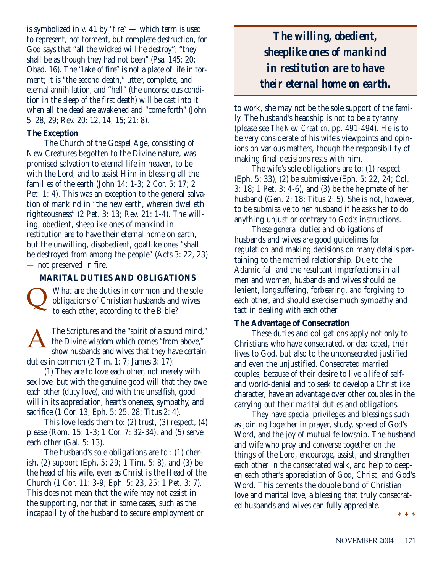is symbolized in v. 41 by "fire" — which term is used to represent, not torment, but complete destruction, for God says that "all the wicked will he destroy"; "they shall be as though they had not been" (Psa. 145: 20; Obad. 16). The "lake of fire" is not a place of life in torment; it is "the second death," utter, complete, and eternal annihilation, and "hell" (the unconscious condition in the sleep of the first death) will be cast into it when all the dead are awakened and "come forth" (John 5: 28, 29; Rev. 20: 12, 14, 15; 21: 8).

#### **The Exception**

The Church of the Gospel Age, consisting of New Creatures begotten to the Divine nature, was promised salvation to eternal life in heaven, to be with the Lord, and to assist Him in blessing all the families of the earth (John 14: 1-3; 2 Cor. 5: 17; 2 Pet. 1: 4). This was an exception to the general salvation of mankind in "the new earth, wherein dwelleth righteousness" (2 Pet. 3: 13; Rev. 21: 1-4). The willing, obedient, sheeplike ones of mankind in restitution are to have their eternal home on earth, but the unwilling, disobedient, goatlike ones "shall be destroyed from among the people" (Acts 3: 22, 23) — not preserved in fire.

#### **MARITAL DUTIES AND OBLIGATIONS**

What are the duties in common and the sole obligations of Christian husbands and wives to each other, according to the Bible?  $\overline{\mathsf{Q}}$ 

The Scriptures and the "spirit of a sound mind," the Divine wisdom which comes "from above," show husbands and wives that they have certain duties in common (2 Tim. 1: 7; James 3: 17): A

(1) They are to love each other, not merely with sex love, but with the genuine good will that they owe each other (duty love), and with the unselfish, good will in its appreciation, heart's oneness, sympathy, and sacrifice (1 Cor. 13; Eph. 5: 25, 28; Titus 2: 4).

This love leads them to: (2) trust, (3) respect, (4) please (Rom. 15: 1-3; 1 Cor. 7: 32-34), and (5) serve each other (Gal. 5: 13).

The husband's sole obligations are to : (1) cherish, (2) support (Eph. 5: 29; 1 Tim. 5: 8), and (3) be the head of his wife, even as Christ is the Head of the Church (1 Cor. 11: 3-9; Eph. 5: 23, 25; 1 Pet. 3: 7). This does not mean that the wife may not assist in the supporting, nor that in some cases, such as the incapability of the husband to secure employment or

*The willing, obedient, sheeplike ones of mankind in restitution are to have their eternal home on earth.*

to work, she may not be the sole support of the family. The husband's headship is not to be a tyranny (please see *The New Creation*, pp. 491-494). He is to be very considerate of his wife's viewpoints and opinions on various matters, though the responsibility of making final decisions rests with him.

The wife's sole obligations are to: (1) respect (Eph. 5: 33), (2) be submissive (Eph. 5: 22, 24; Col. 3: 18; 1 Pet. 3: 4-6), and (3) be the helpmate of her husband (Gen. 2: 18; Titus 2: 5). She is not, however, to be submissive to her husband if he asks her to do anything unjust or contrary to God's instructions.

These general duties and obligations of husbands and wives are good guidelines for regulation and making decisions on many details pertaining to the married relationship. Due to the Adamic fall and the resultant imperfections in all men and women, husbands and wives should be lenient, longsuffering, forbearing, and forgiving to each other, and should exercise much sympathy and tact in dealing with each other.

#### **The Advantage of Consecration**

These duties and obligations apply not only to Christians who have consecrated, or dedicated, their lives to God, but also to the unconsecrated justified and even the unjustified. Consecrated married couples, because of their desire to live a life of selfand world-denial and to seek to develop a Christlike character, have an advantage over other couples in the carrying out their marital duties and obligations.

They have special privileges and blessings such as joining together in prayer, study, spread of God's Word, and the joy of mutual fellowship. The husband and wife who pray and converse together on the things of the Lord, encourage, assist, and strengthen each other in the consecrated walk, and help to deepen each other's appreciation of God, Christ, and God's Word. This cements the double bond of Christian love and marital love, a blessing that truly consecrated husbands and wives can fully appreciate. \* \* \*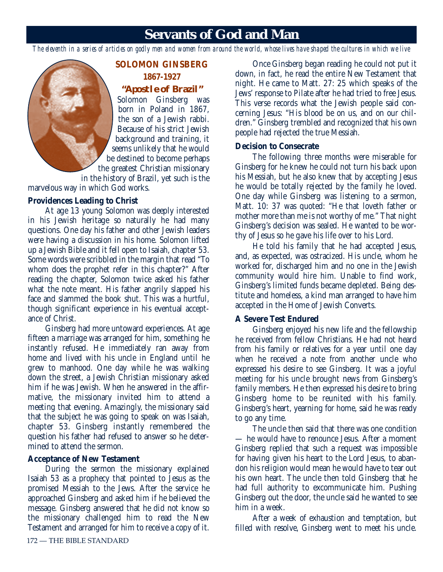### **Servants of God and Man**

*The eleventh in a series of articles on godly men and women from around the world, whose lives have shaped the cultures in which we live*



**SOLOMON GINSBERG 1867-1927 "Apostle of Brazil"**

Solomon Ginsberg was born in Poland in 1867, the son of a Jewish rabbi. Because of his strict Jewish background and training, it seems unlikely that he would be destined to become perhaps the greatest Christian missionary

in the history of Brazil, yet such is the marvelous way in which God works.

#### **Providences Leading to Christ**

At age 13 young Solomon was deeply interested in his Jewish heritage so naturally he had many questions. One day his father and other Jewish leaders were having a discussion in his home. Solomon lifted up a Jewish Bible and it fell open to Isaiah, chapter 53. Some words were scribbled in the margin that read "To whom does the prophet refer in this chapter?" After reading the chapter, Solomon twice asked his father what the note meant. His father angrily slapped his face and slammed the book shut. This was a hurtful, though significant experience in his eventual acceptance of Christ.

Ginsberg had more untoward experiences. At age fifteen a marriage was arranged for him, something he instantly refused. He immediately ran away from home and lived with his uncle in England until he grew to manhood. One day while he was walking down the street, a Jewish Christian missionary asked him if he was Jewish. When he answered in the affirmative, the missionary invited him to attend a meeting that evening. Amazingly, the missionary said that the subject he was going to speak on was Isaiah, chapter 53. Ginsberg instantly remembered the question his father had refused to answer so he determined to attend the sermon.

#### **Acceptance of New Testament**

During the sermon the missionary explained Isaiah 53 as a prophecy that pointed to Jesus as the promised Messiah to the Jews. After the service he approached Ginsberg and asked him if he believed the message. Ginsberg answered that he did not know so the missionary challenged him to read the New Testament and arranged for him to receive a copy of it.

Once Ginsberg began reading he could not put it down, in fact, he read the entire New Testament that night. He came to Matt. 27: 25 which speaks of the Jews' response to Pilate after he had tried to free Jesus. This verse records what the Jewish people said concerning Jesus: "His blood be on us, and on our children." Ginsberg trembled and recognized that his own people had rejected the true Messiah.

#### **Decision to Consecrate**

The following three months were miserable for Ginsberg for he knew he could not turn his back upon his Messiah, but he also knew that by accepting Jesus he would be totally rejected by the family he loved. One day while Ginsberg was listening to a sermon, Matt. 10: 37 was quoted: "He that loveth father or mother more than me is not worthy of me." That night Ginsberg's decision was sealed. He wanted to be worthy of Jesus so he gave his life over to his Lord.

He told his family that he had accepted Jesus, and, as expected, was ostracized. His uncle, whom he worked for, discharged him and no one in the Jewish community would hire him. Unable to find work, Ginsberg's limited funds became depleted. Being destitute and homeless, a kind man arranged to have him accepted in the Home of Jewish Converts.

#### **A Severe Test Endured**

Ginsberg enjoyed his new life and the fellowship he received from fellow Christians. He had not heard from his family or relatives for a year until one day when he received a note from another uncle who expressed his desire to see Ginsberg. It was a joyful meeting for his uncle brought news from Ginsberg's family members. He then expressed his desire to bring Ginsberg home to be reunited with his family. Ginsberg's heart, yearning for home, said he was ready to go any time.

The uncle then said that there was one condition — he would have to renounce Jesus. After a moment Ginsberg replied that such a request was impossible for having given his heart to the Lord Jesus, to abandon his religion would mean he would have to tear out his own heart. The uncle then told Ginsberg that he had full authority to excommunicate him. Pushing Ginsberg out the door, the uncle said he wanted to see him in a week.

After a week of exhaustion and temptation, but filled with resolve, Ginsberg went to meet his uncle.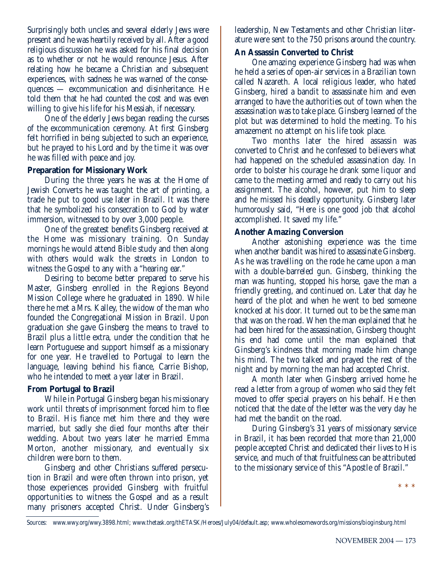Surprisingly both uncles and several elderly Jews were present and he was heartily received by all. After a good religious discussion he was asked for his final decision as to whether or not he would renounce Jesus. After relating how he became a Christian and subsequent experiences, with sadness he was warned of the consequences — excommunication and disinheritance. He told them that he had counted the cost and was even willing to give his life for his Messiah, if necessary.

One of the elderly Jews began reading the curses of the excommunication ceremony. At first Ginsberg felt horrified in being subjected to such an experience, but he prayed to his Lord and by the time it was over he was filled with peace and joy.

#### **Preparation for Missionary Work**

During the three years he was at the Home of Jewish Converts he was taught the art of printing, a trade he put to good use later in Brazil. It was there that he symbolized his consecration to God by water immersion, witnessed to by over 3,000 people.

One of the greatest benefits Ginsberg received at the Home was missionary training. On Sunday mornings he would attend Bible study and then along with others would walk the streets in London to witness the Gospel to any with a "hearing ear."

Desiring to become better prepared to serve his Master, Ginsberg enrolled in the Regions Beyond Mission College where he graduated in 1890. While there he met a Mrs. Kalley, the widow of the man who founded the Congregational Mission in Brazil. Upon graduation she gave Ginsberg the means to travel to Brazil plus a little extra, under the condition that he learn Portuguese and support himself as a missionary for one year. He travelled to Portugal to learn the language, leaving behind his fiance, Carrie Bishop, who he intended to meet a year later in Brazil.

#### **From Portugal to Brazil**

While in Portugal Ginsberg began his missionary work until threats of imprisonment forced him to flee to Brazil. His fiance met him there and they were married, but sadly she died four months after their wedding. About two years later he married Emma Morton, another missionary, and eventually six children were born to them.

Ginsberg and other Christians suffered persecution in Brazil and were often thrown into prison, yet those experiences provided Ginsberg with fruitful opportunities to witness the Gospel and as a result many prisoners accepted Christ. Under Ginsberg's

leadership, New Testaments and other Christian literature were sent to the 750 prisons around the country.

#### **An Assassin Converted to Christ**

One amazing experience Ginsberg had was when he held a series of open-air services in a Brazilian town called Nazareth. A local religious leader, who hated Ginsberg, hired a bandit to assassinate him and even arranged to have the authorities out of town when the assassination was to take place. Ginsberg learned of the plot but was determined to hold the meeting. To his amazement no attempt on his life took place.

Two months later the hired assassin was converted to Christ and he confessed to believers what had happened on the scheduled assassination day. In order to bolster his courage he drank some liquor and came to the meeting armed and ready to carry out his assignment. The alcohol, however, put him to sleep and he missed his deadly opportunity. Ginsberg later humorously said, "Here is one good job that alcohol accomplished. It saved my life."

#### **Another Amazing Conversion**

Another astonishing experience was the time when another bandit was hired to assassinate Ginsberg. As he was travelling on the rode he came upon a man with a double-barreled gun. Ginsberg, thinking the man was hunting, stopped his horse, gave the man a friendly greeting, and continued on. Later that day he heard of the plot and when he went to bed someone knocked at his door. It turned out to be the same man that was on the road. When the man explained that he had been hired for the assassination, Ginsberg thought his end had come until the man explained that Ginsberg's kindness that morning made him change his mind. The two talked and prayed the rest of the night and by morning the man had accepted Christ.

A month later when Ginsberg arrived home he read a letter from a group of women who said they felt moved to offer special prayers on his behalf. He then noticed that the date of the letter was the very day he had met the bandit on the road.

During Ginsberg's 31 years of missionary service in Brazil, it has been recorded that more than 21,000 people accepted Christ and dedicated their lives to His service, and much of that fruitfulness can be attributed to the missionary service of this "Apostle of Brazil."

\* \* \*

Sources: www.wwy.org/wwy.3898.html; www.thetask.org/thETASK/Heroes/July04/default.asp; www.wholesomewords.org/missions/bioginsburg.html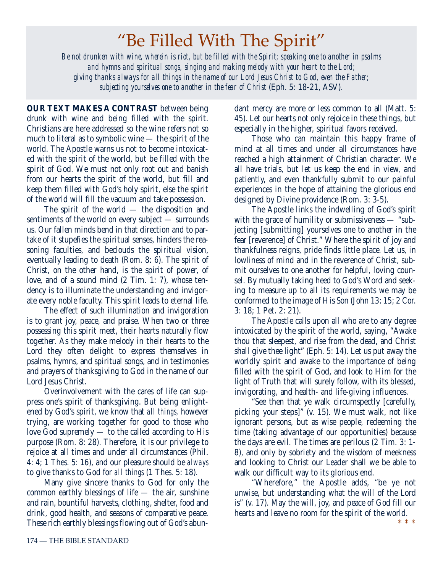## "Be Filled With The Spirit"

*Be not drunken with wine, wherein is riot, but be filled with the Spirit; speaking one to another in psalms and hymns and spiritual songs, singing and making melody with your heart to the Lord; giving thanks always for all things in the name of our Lord Jesus Christ to God, even the Father; subjecting yourselves one to another in the fear of Christ* (Eph. 5: 18-21, ASV).

**OUR TEXT MAKES A CONTRAST** between being drunk with wine and being filled with the spirit. Christians are here addressed so the wine refers not so much to literal as to symbolic wine — the spirit of the world. The Apostle warns us not to become intoxicated with the spirit of the world, but be filled with the spirit of God. We must not only root out and banish from our hearts the spirit of the world, but fill and keep them filled with God's holy spirit, else the spirit of the world will fill the vacuum and take possession.

The spirit of the world — the disposition and sentiments of the world on every subject — surrounds us. Our fallen minds bend in that direction and to partake of it stupefies the spiritual senses, hinders the reasoning faculties, and beclouds the spiritual vision, eventually leading to death (Rom. 8: 6). The spirit of Christ, on the other hand, is the spirit of power, of love, and of a sound mind (2 Tim. 1: 7), whose tendency is to illuminate the understanding and invigorate every noble faculty. This spirit leads to eternal life.

The effect of such illumination and invigoration is to grant joy, peace, and praise. When two or three possessing this spirit meet, their hearts naturally flow together. As they make melody in their hearts to the Lord they often delight to express themselves in psalms, hymns, and spiritual songs, and in testimonies and prayers of thanksgiving to God in the name of our Lord Jesus Christ.

Overinvolvement with the cares of life can suppress one's spirit of thanksgiving. But being enlightened by God's spirit, we know that *all things,* however trying, are working together for good to those who love God supremely — to the called according to His purpose (Rom. 8: 28). Therefore, it is our privilege to rejoice at all times and under all circumstances (Phil. 4: 4; 1 Thes. 5: 16), and our pleasure should be *always* to give thanks to God for *all things* (1 Thes. 5: 18).

Many give sincere thanks to God for only the common earthly blessings of life — the air, sunshine and rain, bountiful harvests, clothing, shelter, food and drink, good health, and seasons of comparative peace. These rich earthly blessings flowing out of God's abundant mercy are more or less common to all (Matt. 5: 45). Let our hearts not only rejoice in these things, but especially in the higher, spiritual favors received.

Those who can maintain this happy frame of mind at all times and under all circumstances have reached a high attainment of Christian character. We all have trials, but let us keep the end in view, and patiently, and even thankfully submit to our painful experiences in the hope of attaining the glorious end designed by Divine providence (Rom. 3: 3-5).

The Apostle links the indwelling of God's spirit with the grace of humility or submissiveness — "subjecting [submitting] yourselves one to another in the fear [reverence] of Christ." Where the spirit of joy and thankfulness reigns, pride finds little place. Let us, in lowliness of mind and in the reverence of Christ, submit ourselves to one another for helpful, loving counsel. By mutually taking heed to God's Word and seeking to measure up to all its requirements we may be conformed to the image of His Son (John 13: 15; 2 Cor. 3: 18; 1 Pet. 2: 21).

The Apostle calls upon all who are to any degree intoxicated by the spirit of the world, saying, "Awake thou that sleepest, and rise from the dead, and Christ shall give thee light" (Eph. 5: 14). Let us put away the worldly spirit and awake to the importance of being filled with the spirit of God, and look to Him for the light of Truth that will surely follow, with its blessed, invigorating, and health- and life-giving influences.

"See then that ye walk circumspectly [carefully, picking your steps]" (v. 15). We must walk, not like ignorant persons, but as wise people, redeeming the time (taking advantage of our opportunities) because the days are evil. The times are perilous (2 Tim. 3: 1- 8), and only by sobriety and the wisdom of meekness and looking to Christ our Leader shall we be able to walk our difficult way to its glorious end.

"Wherefore," the Apostle adds, "be ye not unwise, but understanding what the will of the Lord is" (v. 17). May the will, joy, and peace of God fill our hearts and leave no room for the spirit of the world.

\* \* \*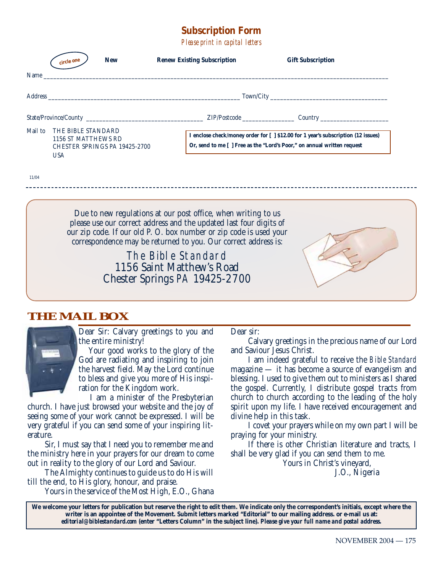#### **Subscription Form**

*Please print in capital letters*

|         | <b>New</b><br>circle one                                                                 | <b>Renew Existing Subscription</b>                                                                                                                                                                                                                                          | <b>Gift Subscription</b>                                                                                                                                     |  |
|---------|------------------------------------------------------------------------------------------|-----------------------------------------------------------------------------------------------------------------------------------------------------------------------------------------------------------------------------------------------------------------------------|--------------------------------------------------------------------------------------------------------------------------------------------------------------|--|
| Name_   |                                                                                          | <u> 1989 - Johann Stoff, deutscher Stoff, der Stoff, der Stoff, der Stoff, der Stoff, der Stoff, der Stoff, der S</u>                                                                                                                                                       |                                                                                                                                                              |  |
|         |                                                                                          |                                                                                                                                                                                                                                                                             |                                                                                                                                                              |  |
|         |                                                                                          |                                                                                                                                                                                                                                                                             |                                                                                                                                                              |  |
| Mail to | THE BIBLE STANDARD<br>1156 ST MATTHEWS RD<br>CHESTER SPRINGS PA 19425-2700<br><b>USA</b> |                                                                                                                                                                                                                                                                             | I enclose check/money order for [ ] \$12.00 for 1 year's subscription (12 issues)<br>Or, send to me [ ] Free as the "Lord's Poor," on annual written request |  |
| 11/04   |                                                                                          |                                                                                                                                                                                                                                                                             |                                                                                                                                                              |  |
|         |                                                                                          | Due to new regulations at our post office, when writing to us<br>please use our correct address and the updated last four digits of<br>our zip code. If our old P. O. box number or zip code is used your<br>correspondence may be returned to you. Our correct address is: |                                                                                                                                                              |  |
|         |                                                                                          | The Bible Standard<br>1156 Saint Matthew's Road<br>Chester Springs PA 19425-2700                                                                                                                                                                                            |                                                                                                                                                              |  |
|         |                                                                                          |                                                                                                                                                                                                                                                                             |                                                                                                                                                              |  |

#### **THE MAIL BOX**



Dear Sir: Calvary greetings to you and the entire ministry!

Your good works to the glory of the God are radiating and inspiring to join the harvest field. May the Lord continue to bless and give you more of His inspiration for the Kingdom work.

I am a minister of the Presbyterian

church. I have just browsed your website and the joy of seeing some of your work cannot be expressed. I will be very grateful if you can send some of your inspiring literature.

Sir, I must say that I need you to remember me and the ministry here in your prayers for our dream to come out in reality to the glory of our Lord and Saviour.

The Almighty continues to guide us to do His will till the end, to His glory, honour, and praise.

Yours in the service of the Most High, E.O., Ghana

Dear sir:

Calvary greetings in the precious name of our Lord and Saviour Jesus Christ.

I am indeed grateful to receive the *Bible Standard* magazine — it has become a source of evangelism and blessing. I used to give them out to ministers as I shared the gospel. Currently, I distribute gospel tracts from church to church according to the leading of the holy spirit upon my life. I have received encouragement and divine help in this task.

I covet your prayers while on my own part I will be praying for your ministry.

If there is other Christian literature and tracts, I shall be very glad if you can send them to me.

Yours in Christ's vineyard, J.O., Nigeria

**We welcome your letters for publication but reserve the right to edit them. We indicate only the correspondent's initials, except where the writer is an appointee of the Movement. Submit letters marked "Editorial" to our mailing address. or e-mail us at:** *editorial@biblestandard.com* **(enter "Letters Column" in the subject line).** *Please give your full name and postal address.*